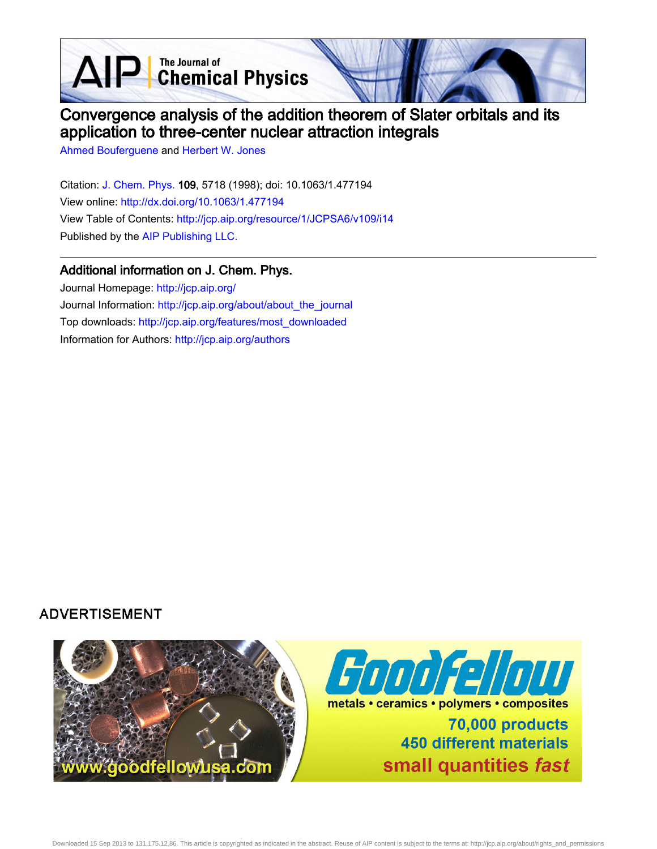AIP Chemical Physics



# Convergence analysis of the addition theorem of Slater orbitals and its application to three-center nuclear attraction integrals

[Ahmed Bouferguene](http://jcp.aip.org/search?sortby=newestdate&q=&searchzone=2&searchtype=searchin&faceted=faceted&key=AIP_ALL&possible1=Ahmed Bouferguene&possible1zone=author&alias=&displayid=AIP&ver=pdfcov) and [Herbert W. Jones](http://jcp.aip.org/search?sortby=newestdate&q=&searchzone=2&searchtype=searchin&faceted=faceted&key=AIP_ALL&possible1=Herbert W. Jones&possible1zone=author&alias=&displayid=AIP&ver=pdfcov)

Citation: [J. Chem. Phys. 1](http://jcp.aip.org/?ver=pdfcov)09, 5718 (1998); doi: 10.1063/1.477194 View online: [http://dx.doi.org/10.1063/1.477194](http://link.aip.org/link/doi/10.1063/1.477194?ver=pdfcov) View Table of Contents: [http://jcp.aip.org/resource/1/JCPSA6/v109/i14](http://jcp.aip.org/resource/1/JCPSA6/v109/i14?ver=pdfcov) Published by the [AIP Publishing LLC.](http://www.aip.org/?ver=pdfcov)

### Additional information on J. Chem. Phys.

Journal Homepage: [http://jcp.aip.org/](http://jcp.aip.org/?ver=pdfcov) Journal Information: [http://jcp.aip.org/about/about\\_the\\_journal](http://jcp.aip.org/about/about_the_journal?ver=pdfcov) Top downloads: [http://jcp.aip.org/features/most\\_downloaded](http://jcp.aip.org/features/most_downloaded?ver=pdfcov) Information for Authors: [http://jcp.aip.org/authors](http://jcp.aip.org/authors?ver=pdfcov)

# **ADVERTISEMENT**

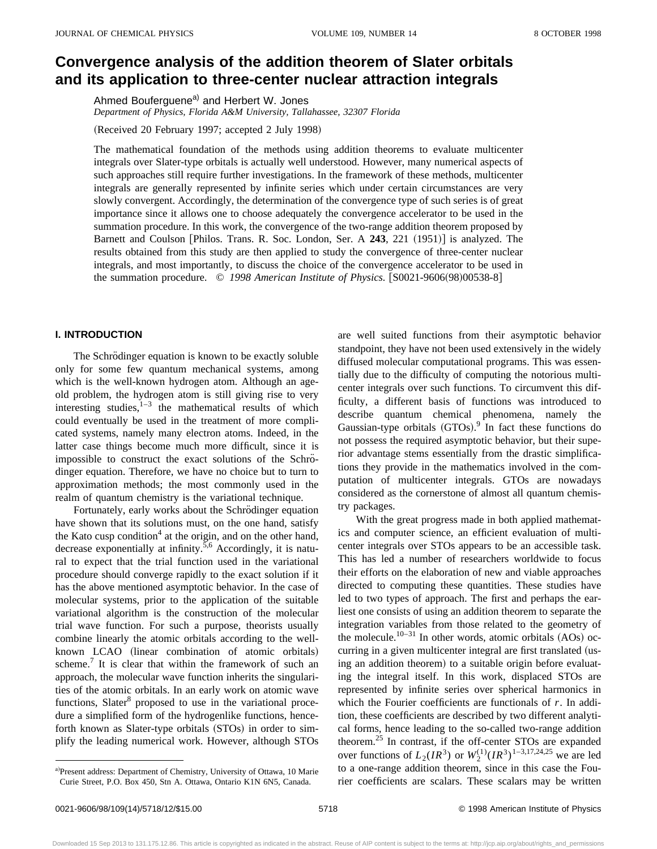# **Convergence analysis of the addition theorem of Slater orbitals and its application to three-center nuclear attraction integrals**

Ahmed Bouferguene<sup>a)</sup> and Herbert W. Jones *Department of Physics, Florida A&M University, Tallahassee, 32307 Florida*

(Received 20 February 1997; accepted 2 July 1998)

The mathematical foundation of the methods using addition theorems to evaluate multicenter integrals over Slater-type orbitals is actually well understood. However, many numerical aspects of such approaches still require further investigations. In the framework of these methods, multicenter integrals are generally represented by infinite series which under certain circumstances are very slowly convergent. Accordingly, the determination of the convergence type of such series is of great importance since it allows one to choose adequately the convergence accelerator to be used in the summation procedure. In this work, the convergence of the two-range addition theorem proposed by Barnett and Coulson [Philos. Trans. R. Soc. London, Ser. A 243, 221 (1951)] is analyzed. The results obtained from this study are then applied to study the convergence of three-center nuclear integrals, and most importantly, to discuss the choice of the convergence accelerator to be used in the summation procedure.  $\degree$  1998 American Institute of Physics. [S0021-9606(98)00538-8]

### **I. INTRODUCTION**

The Schrödinger equation is known to be exactly soluble only for some few quantum mechanical systems, among which is the well-known hydrogen atom. Although an ageold problem, the hydrogen atom is still giving rise to very interesting studies, $1-3$  the mathematical results of which could eventually be used in the treatment of more complicated systems, namely many electron atoms. Indeed, in the latter case things become much more difficult, since it is impossible to construct the exact solutions of the Schrödinger equation. Therefore, we have no choice but to turn to approximation methods; the most commonly used in the realm of quantum chemistry is the variational technique.

Fortunately, early works about the Schrödinger equation have shown that its solutions must, on the one hand, satisfy the Kato cusp condition<sup>4</sup> at the origin, and on the other hand, decrease exponentially at infinity.<sup>5,6</sup> Accordingly, it is natural to expect that the trial function used in the variational procedure should converge rapidly to the exact solution if it has the above mentioned asymptotic behavior. In the case of molecular systems, prior to the application of the suitable variational algorithm is the construction of the molecular trial wave function. For such a purpose, theorists usually combine linearly the atomic orbitals according to the wellknown LCAO (linear combination of atomic orbitals) scheme.<sup>7</sup> It is clear that within the framework of such an approach, the molecular wave function inherits the singularities of the atomic orbitals. In an early work on atomic wave functions, Slater<sup>8</sup> proposed to use in the variational procedure a simplified form of the hydrogenlike functions, henceforth known as Slater-type orbitals (STOs) in order to simplify the leading numerical work. However, although STOs

a)Present address: Department of Chemistry, University of Ottawa, 10 Marie Curie Street, P.O. Box 450, Stn A. Ottawa, Ontario K1N 6N5, Canada.

are well suited functions from their asymptotic behavior standpoint, they have not been used extensively in the widely diffused molecular computational programs. This was essentially due to the difficulty of computing the notorious multicenter integrals over such functions. To circumvent this difficulty, a different basis of functions was introduced to describe quantum chemical phenomena, namely the Gaussian-type orbitals  $(GTOs).<sup>9</sup>$  In fact these functions do not possess the required asymptotic behavior, but their superior advantage stems essentially from the drastic simplifications they provide in the mathematics involved in the computation of multicenter integrals. GTOs are nowadays considered as the cornerstone of almost all quantum chemistry packages.

With the great progress made in both applied mathematics and computer science, an efficient evaluation of multicenter integrals over STOs appears to be an accessible task. This has led a number of researchers worldwide to focus their efforts on the elaboration of new and viable approaches directed to computing these quantities. These studies have led to two types of approach. The first and perhaps the earliest one consists of using an addition theorem to separate the integration variables from those related to the geometry of the molecule.<sup>10–31</sup> In other words, atomic orbitals  $(AOs)$  occurring in a given multicenter integral are first translated (using an addition theorem) to a suitable origin before evaluating the integral itself. In this work, displaced STOs are represented by infinite series over spherical harmonics in which the Fourier coefficients are functionals of *r*. In addition, these coefficients are described by two different analytical forms, hence leading to the so-called two-range addition theorem.<sup>25</sup> In contrast, if the off-center STOs are expanded over functions of  $L_2(IR^3)$  or  $W_2^{(1)}(IR^3)^{1-3,17,24,25}$  we are led to a one-range addition theorem, since in this case the Fourier coefficients are scalars. These scalars may be written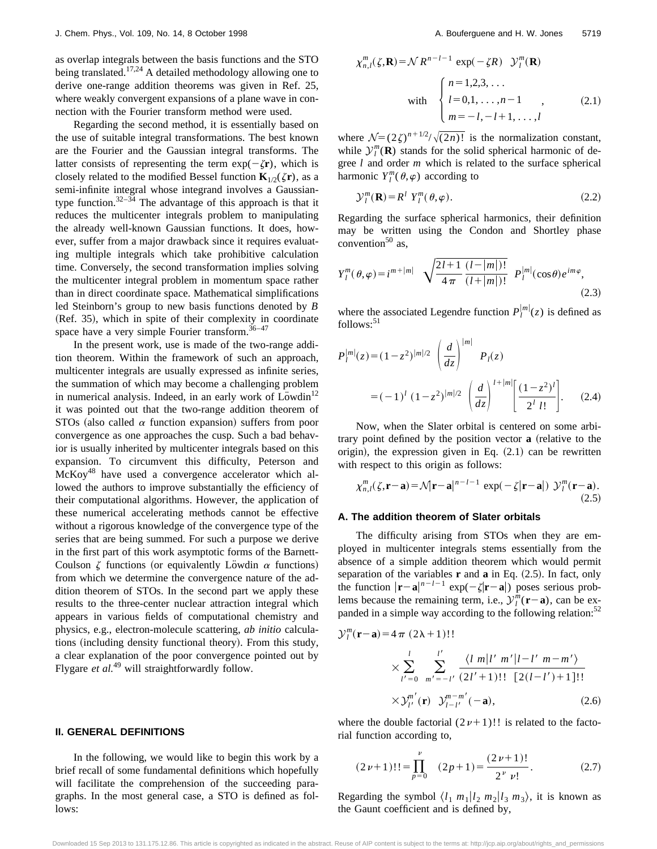as overlap integrals between the basis functions and the STO being translated.<sup>17,24</sup> A detailed methodology allowing one to derive one-range addition theorems was given in Ref. 25, where weakly convergent expansions of a plane wave in connection with the Fourier transform method were used.

Regarding the second method, it is essentially based on the use of suitable integral transformations. The best known are the Fourier and the Gaussian integral transforms. The latter consists of representing the term  $exp(-\zeta r)$ , which is closely related to the modified Bessel function  $\mathbf{K}_{1/2}(\zeta \mathbf{r})$ , as a semi-infinite integral whose integrand involves a Gaussiantype function.<sup>32–34</sup> The advantage of this approach is that it reduces the multicenter integrals problem to manipulating the already well-known Gaussian functions. It does, however, suffer from a major drawback since it requires evaluating multiple integrals which take prohibitive calculation time. Conversely, the second transformation implies solving the multicenter integral problem in momentum space rather than in direct coordinate space. Mathematical simplifications led Steinborn's group to new basis functions denoted by *B* (Ref. 35), which in spite of their complexity in coordinate space have a very simple Fourier transform. $36-47$ 

In the present work, use is made of the two-range addition theorem. Within the framework of such an approach, multicenter integrals are usually expressed as infinite series, the summation of which may become a challenging problem in numerical analysis. Indeed, in an early work of  $L\ddot{o}$  wdin<sup>12</sup> it was pointed out that the two-range addition theorem of STOs (also called  $\alpha$  function expansion) suffers from poor convergence as one approaches the cusp. Such a bad behavior is usually inherited by multicenter integrals based on this expansion. To circumvent this difficulty, Peterson and McKoy<sup>48</sup> have used a convergence accelerator which allowed the authors to improve substantially the efficiency of their computational algorithms. However, the application of these numerical accelerating methods cannot be effective without a rigorous knowledge of the convergence type of the series that are being summed. For such a purpose we derive in the first part of this work asymptotic forms of the Barnett-Coulson  $\zeta$  functions (or equivalently Löwdin  $\alpha$  functions) from which we determine the convergence nature of the addition theorem of STOs. In the second part we apply these results to the three-center nuclear attraction integral which appears in various fields of computational chemistry and physics, e.g., electron-molecule scattering, *ab initio* calculations (including density functional theory). From this study, a clear explanation of the poor convergence pointed out by Flygare *et al.*<sup>49</sup> will straightforwardly follow.

In the following, we would like to begin this work by a brief recall of some fundamental definitions which hopefully will facilitate the comprehension of the succeeding paragraphs. In the most general case, a STO is defined as follows:

$$
\chi_{n,l}^m(\zeta, \mathbf{R}) = \mathcal{N} R^{n-l-1} \exp(-\zeta R) \mathcal{Y}_l^m(\mathbf{R})
$$
  
with 
$$
\begin{cases} n = 1, 2, 3, \dots \\ l = 0, 1, \dots, n-1 \\ m = -l, -l+1, \dots, l \end{cases}
$$
 (2.1)

where  $\mathcal{N}=(2\zeta)^{n+1/2}/\sqrt{(2n)!}$  is the normalization constant, while  $\mathcal{Y}_l^m(\mathbf{R})$  stands for the solid spherical harmonic of degree *l* and order *m* which is related to the surface spherical harmonic  $Y_l^m(\theta, \varphi)$  according to

$$
\mathcal{Y}_l^m(\mathbf{R}) = R^l Y_l^m(\theta, \varphi).
$$
 (2.2)

Regarding the surface spherical harmonics, their definition may be written using the Condon and Shortley phase convention $50$  as,

$$
Y_{l}^{m}(\theta,\varphi) = i^{m+|m|} \sqrt{\frac{2l+1}{4\pi} \frac{(l-|m|)!}{(l+|m|)!}} P_{l}^{|m|}(\cos\theta) e^{im\varphi},
$$
\n(2.3)

where the associated Legendre function  $P_l^{|m|}(z)$  is defined as  $follows:$ <sup>51</sup>

$$
P_{l}^{|m|}(z) = (1 - z^{2})^{|m|/2} \left(\frac{d}{dz}\right)^{|m|} P_{l}(z)
$$
  
=  $(-1)^{l} (1 - z^{2})^{|m|/2} \left(\frac{d}{dz}\right)^{l+|m|} \left[\frac{(1 - z^{2})^{l}}{2^{l} l!}\right].$  (2.4)

Now, when the Slater orbital is centered on some arbitrary point defined by the position vector **a** (relative to the origin), the expression given in Eq.  $(2.1)$  can be rewritten with respect to this origin as follows:

$$
\chi_{n,l}^m(\zeta,\mathbf{r}-\mathbf{a}) = \mathcal{N}|\mathbf{r}-\mathbf{a}|^{n-l-1} \exp(-\zeta|\mathbf{r}-\mathbf{a}|) \mathcal{Y}_l^m(\mathbf{r}-\mathbf{a}).
$$
\n(2.5)

#### **A. The addition theorem of Slater orbitals**

The difficulty arising from STOs when they are employed in multicenter integrals stems essentially from the absence of a simple addition theorem which would permit separation of the variables  $\bf{r}$  and  $\bf{a}$  in Eq.  $(2.5)$ . In fact, only the function  $|\mathbf{r}-\mathbf{a}|^{n-l-1}$  exp( $-\zeta|\mathbf{r}-\mathbf{a}|$ ) poses serious problems because the remaining term, i.e.,  $\mathcal{Y}^m_l(\mathbf{r}-\mathbf{a})$ , can be expanded in a simple way according to the following relation:<sup>52</sup>

$$
\mathcal{Y}_l^m(\mathbf{r}-\mathbf{a}) = 4 \pi (2\lambda + 1)!!
$$
  
 
$$
\times \sum_{l'=0}^{l} \sum_{m'=-l'}^{l'} \frac{\langle l \ m | l' \ m' | l - l' \ m - m' \rangle}{(2l'+1)!! \ [2(l-l')+1]!!}
$$
  
 
$$
\times \mathcal{Y}_{l'}^{m'}(\mathbf{r}) \ \mathcal{Y}_{l-l'}^{m-m'}(-\mathbf{a}), \qquad (2.6)
$$

where the double factorial  $(2\nu+1)!!$  is related to the factorial function according to,

$$
(2\nu+1)!! = \prod_{p=0}^{\nu} (2p+1) = \frac{(2\nu+1)!}{2^{\nu} \nu!}.
$$
 (2.7)

Regarding the symbol  $\langle l_1 m_1 | l_2 m_2 | l_3 m_3 \rangle$ , it is known as the Gaunt coefficient and is defined by,

Downloaded 15 Sep 2013 to 131.175.12.86. This article is copyrighted as indicated in the abstract. Reuse of AIP content is subject to the terms at: http://jcp.aip.org/about/rights\_and\_permissions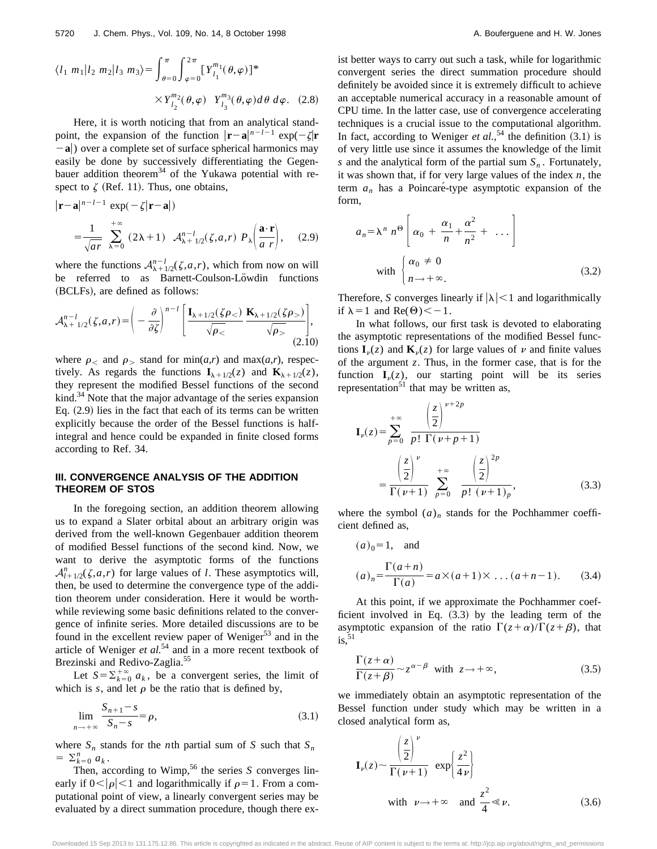$$
\langle l_1 | m_1 | l_2 | m_2 | l_3 | m_3 \rangle = \int_{\theta=0}^{\pi} \int_{\varphi=0}^{2\pi} [Y_{l_1}^{m_1}(\theta, \varphi)]^* \times Y_{l_2}^{m_2}(\theta, \varphi) Y_{l_3}^{m_3}(\theta, \varphi) d\theta d\varphi. \quad (2.8)
$$

Here, it is worth noticing that from an analytical standpoint, the expansion of the function  $|\mathbf{r}-\mathbf{a}|^{n-l-1}$  exp( $-\zeta|\mathbf{r}$  $-$ a|) over a complete set of surface spherical harmonics may easily be done by successively differentiating the Gegenbauer addition theorem<sup>34</sup> of the Yukawa potential with respect to  $\zeta$  (Ref. 11). Thus, one obtains,

$$
|\mathbf{r} - \mathbf{a}|^{n-l-1} \exp(-\zeta |\mathbf{r} - \mathbf{a}|)
$$
  
= 
$$
\frac{1}{\sqrt{ar}} \sum_{\lambda=0}^{+\infty} (2\lambda + 1) \mathcal{A}_{\lambda+1/2}^{n-l}(\zeta, a, r) P_{\lambda} \left( \frac{\mathbf{a} \cdot \mathbf{r}}{a r} \right), \quad (2.9)
$$

where the functions  $A_{\lambda+1/2}^{n-l}(\zeta,a,r)$ , which from now on will be referred to as Barnett-Coulson-Löwdin functions (BCLFs), are defined as follows:

$$
\mathcal{A}_{\lambda+1/2}^{n-l}(\zeta,a,r) = \left(-\frac{\partial}{\partial \zeta}\right)^{n-l} \left[\frac{\mathbf{I}_{\lambda+1/2}(\zeta\rho_{<})}{\sqrt{\rho_{<}}}\frac{\mathbf{K}_{\lambda+1/2}(\zeta\rho_{>})}{\sqrt{\rho_{>}}}\right],\tag{2.10}
$$

where  $\rho$  and  $\rho$  stand for min(*a*,*r*) and max(*a*,*r*), respectively. As regards the functions  $I_{\lambda+1/2}(z)$  and  $K_{\lambda+1/2}(z)$ , they represent the modified Bessel functions of the second kind. $34$  Note that the major advantage of the series expansion Eq.  $(2.9)$  lies in the fact that each of its terms can be written explicitly because the order of the Bessel functions is halfintegral and hence could be expanded in finite closed forms according to Ref. 34.

#### **III. CONVERGENCE ANALYSIS OF THE ADDITION THEOREM OF STOS**

In the foregoing section, an addition theorem allowing us to expand a Slater orbital about an arbitrary origin was derived from the well-known Gegenbauer addition theorem of modified Bessel functions of the second kind. Now, we want to derive the asymptotic forms of the functions  $A_{l+1/2}^n(\zeta,a,r)$  for large values of *l*. These asymptotics will, then, be used to determine the convergence type of the addition theorem under consideration. Here it would be worthwhile reviewing some basic definitions related to the convergence of infinite series. More detailed discussions are to be found in the excellent review paper of Weniger<sup>53</sup> and in the article of Weniger *et al.*<sup>54</sup> and in a more recent textbook of Brezinski and Redivo-Zaglia.<sup>55</sup>

Let  $S = \sum_{k=0}^{+\infty} a_k$ , be a convergent series, the limit of which is  $s$ , and let  $\rho$  be the ratio that is defined by,

$$
\lim_{n \to +\infty} \frac{S_{n+1} - s}{S_n - s} = \rho,
$$
\n(3.1)

where  $S_n$  stands for the *n*th partial sum of *S* such that  $S_n$  $= \sum_{k=0}^n a_k$ .

Then, according to Wimp,<sup>56</sup> the series  $S$  converges linearly if  $0<|\rho|<1$  and logarithmically if  $\rho=1$ . From a computational point of view, a linearly convergent series may be evaluated by a direct summation procedure, though there exist better ways to carry out such a task, while for logarithmic convergent series the direct summation procedure should definitely be avoided since it is extremely difficult to achieve an acceptable numerical accuracy in a reasonable amount of CPU time. In the latter case, use of convergence accelerating techniques is a crucial issue to the computational algorithm. In fact, according to Weniger *et al.*,<sup>54</sup> the definition  $(3.1)$  is of very little use since it assumes the knowledge of the limit *s* and the analytical form of the partial sum  $S_n$ . Fortunately, it was shown that, if for very large values of the index *n*, the term  $a_n$  has a Poincaré-type asymptotic expansion of the form,

$$
a_n = \lambda^n \ n^{\Theta} \left[ \alpha_0 + \frac{\alpha_1}{n} + \frac{\alpha^2}{n^2} + \dots \right]
$$
  
with 
$$
\begin{cases} \alpha_0 \neq 0 \\ n \to +\infty. \end{cases}
$$
 (3.2)

Therefore, *S* converges linearly if  $|\lambda|$  < 1 and logarithmically if  $\lambda = 1$  and Re( $\Theta$ ) < -1.

In what follows, our first task is devoted to elaborating the asymptotic representations of the modified Bessel functions  $I_{\nu}(z)$  and  $K_{\nu}(z)$  for large values of  $\nu$  and finite values of the argument *z*. Thus, in the former case, that is for the function  $I_{\nu}(z)$ , our starting point will be its series representation $51$  that may be written as,

$$
\mathbf{I}_{\nu}(z) = \sum_{p=0}^{+\infty} \frac{\left(\frac{z}{2}\right)^{\nu+2p}}{p! \Gamma(\nu+p+1)} \n= \frac{\left(\frac{z}{2}\right)^{\nu}}{\Gamma(\nu+1)} \sum_{p=0}^{+\infty} \frac{\left(\frac{z}{2}\right)^{2p}}{p! \left(\nu+1\right)_{p}},
$$
\n(3.3)

where the symbol  $(a)_n$  stands for the Pochhammer coefficient defined as,

$$
(a)_0 = 1
$$
, and  
\n
$$
(a)_n = \frac{\Gamma(a+n)}{\Gamma(a)} = a \times (a+1) \times \dots (a+n-1).
$$
\n(3.4)

At this point, if we approximate the Pochhammer coefficient involved in Eq.  $(3.3)$  by the leading term of the asymptotic expansion of the ratio  $\Gamma(z+\alpha)/\Gamma(z+\beta)$ , that  $is.$ <sup>51</sup>

$$
\frac{\Gamma(z+\alpha)}{\Gamma(z+\beta)} \sim z^{\alpha-\beta} \quad \text{with} \quad z \to +\infty,
$$
\n(3.5)

we immediately obtain an asymptotic representation of the Bessel function under study which may be written in a closed analytical form as,

$$
\mathbf{I}_{\nu}(z) \sim \frac{\left(\frac{z}{2}\right)^{\nu}}{\Gamma(\nu+1)} \exp\left\{\frac{z^{2}}{4\nu}\right\}
$$
  
with  $\nu \to +\infty$  and  $\frac{z^{2}}{4} \ll \nu$ . (3.6)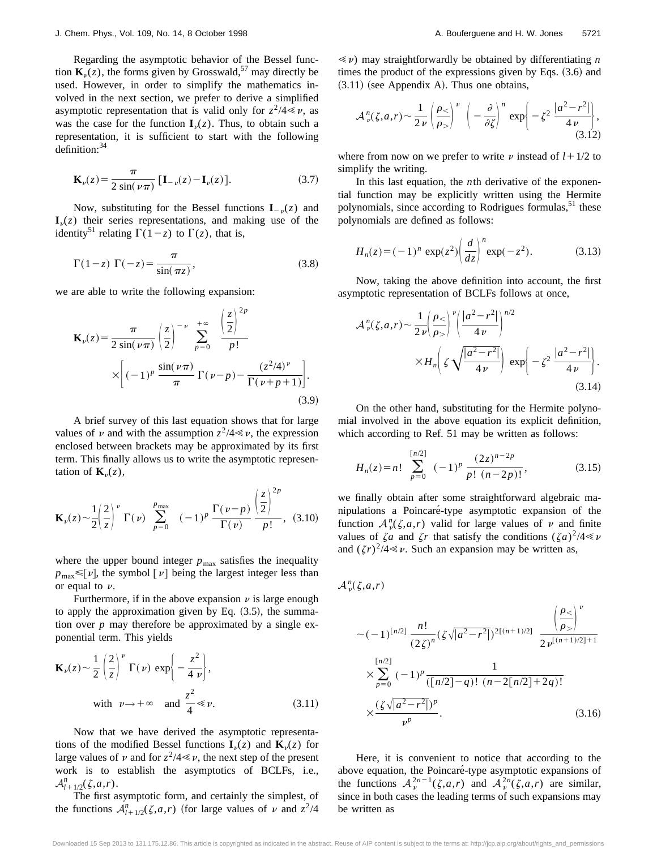Regarding the asymptotic behavior of the Bessel function  $\mathbf{K}_n(z)$ , the forms given by Grosswald,<sup>57</sup> may directly be used. However, in order to simplify the mathematics involved in the next section, we prefer to derive a simplified asymptotic representation that is valid only for  $z^2/4 \ll \nu$ , as was the case for the function  $I<sub>v</sub>(z)$ . Thus, to obtain such a representation, it is sufficient to start with the following definition:<sup>34</sup>

$$
\mathbf{K}_{\nu}(z) = \frac{\pi}{2\sin(\nu\pi)}\left[\mathbf{I}_{-\nu}(z) - \mathbf{I}_{\nu}(z)\right].\tag{3.7}
$$

Now, substituting for the Bessel functions  $I_{-\nu}(z)$  and  $\mathbf{I}_{\nu}(z)$  their series representations, and making use of the identity<sup>51</sup> relating  $\Gamma(1-z)$  to  $\Gamma(z)$ , that is,

$$
\Gamma(1-z)\ \Gamma(-z) = \frac{\pi}{\sin(\pi z)},\tag{3.8}
$$

we are able to write the following expansion:

$$
\mathbf{K}_{\nu}(z) = \frac{\pi}{2 \sin(\nu \pi)} \left(\frac{z}{2}\right)^{-\nu} \sum_{p=0}^{+\infty} \frac{\left(\frac{z}{2}\right)^{2p}}{p!}
$$

$$
\times \left[(-1)^{p} \frac{\sin(\nu \pi)}{\pi} \Gamma(\nu - p) - \frac{(z^{2}/4)^{\nu}}{\Gamma(\nu + p + 1)}\right].
$$
(3.9)

A brief survey of this last equation shows that for large values of  $\nu$  and with the assumption  $z^2/4 \ll \nu$ , the expression enclosed between brackets may be approximated by its first term. This finally allows us to write the asymptotic representation of  $\mathbf{K}_v(z)$ ,

$$
\mathbf{K}_{\nu}(z) \sim \frac{1}{2} \left(\frac{2}{z}\right)^{\nu} \Gamma(\nu) \sum_{p=0}^{p_{\text{max}}} (-1)^{p} \frac{\Gamma(\nu-p)}{\Gamma(\nu)} \frac{\left(\frac{z}{2}\right)^{2p}}{p!}, (3.10)
$$

where the upper bound integer  $p_{\text{max}}$  satisfies the inequality  $p_{\text{max}} \leq [v]$ , the symbol  $[v]$  being the largest integer less than or equal to  $\nu$ .

Furthermore, if in the above expansion  $\nu$  is large enough to apply the approximation given by Eq.  $(3.5)$ , the summation over *p* may therefore be approximated by a single exponential term. This yields

$$
\mathbf{K}_{\nu}(z) \sim \frac{1}{2} \left(\frac{2}{z}\right)^{\nu} \Gamma(\nu) \exp\left\{-\frac{z^2}{4 \nu}\right\},\
$$
  
with  $\nu \to +\infty$  and  $\frac{z^2}{4} \ll \nu$ . (3.11)

Now that we have derived the asymptotic representations of the modified Bessel functions  $I_{\nu}(z)$  and  $K_{\nu}(z)$  for large values of  $\nu$  and for  $z^2/4 \ll \nu$ , the next step of the present work is to establish the asymptotics of BCLFs, i.e.,  $\mathcal{A}_{l+1/2}^n(\zeta,a,r)$ .

The first asymptotic form, and certainly the simplest, of the functions  $A_{l+1/2}^n(\zeta,a,r)$  (for large values of v and  $z^2/4$ 

 $\ll \nu$ ) may straightforwardly be obtained by differentiating *n* times the product of the expressions given by Eqs.  $(3.6)$  and  $(3.11)$  (see Appendix A). Thus one obtains,

$$
\mathcal{A}_{\nu}^{n}(\zeta,a,r) \sim \frac{1}{2\,\nu} \left(\frac{\rho_{<}}{\rho_{>}}\right)^{\nu} \left(-\frac{\partial}{\partial \zeta}\right)^{n} \exp\left(-\zeta^{2} \frac{|a^{2}-r^{2}|}{4\,\nu}\right),\tag{3.12}
$$

where from now on we prefer to write  $\nu$  instead of  $l + 1/2$  to simplify the writing.

In this last equation, the *n*th derivative of the exponential function may be explicitly written using the Hermite polynomials, since according to Rodrigues formulas,  $51$  these polynomials are defined as follows:

$$
H_n(z) = (-1)^n \exp(z^2) \left(\frac{d}{dz}\right)^n \exp(-z^2).
$$
 (3.13)

Now, taking the above definition into account, the first asymptotic representation of BCLFs follows at once,

$$
\mathcal{A}_{\nu}^{n}(\zeta,a,r) \sim \frac{1}{2\nu} \left(\frac{\rho_{<}}{\rho_{>}}\right)^{\nu} \left(\frac{|a^{2}-r^{2}|}{4\nu}\right)^{n/2} \times H_{n}\left(\zeta \sqrt{\frac{|a^{2}-r^{2}|}{4\nu}}\right) \exp\left(-\zeta^{2} \frac{|a^{2}-r^{2}|}{4\nu}\right).
$$
\n(3.14)

On the other hand, substituting for the Hermite polynomial involved in the above equation its explicit definition, which according to Ref. 51 may be written as follows:

$$
H_n(z) = n! \sum_{p=0}^{\lfloor n/2 \rfloor} (-1)^p \frac{(2z)^{n-2p}}{p! (n-2p)!},
$$
 (3.15)

we finally obtain after some straightforward algebraic manipulations a Poincaré-type asymptotic expansion of the function  $A_{\nu}^{n}(\zeta,a,r)$  valid for large values of  $\nu$  and finite values of  $\zeta a$  and  $\zeta r$  that satisfy the conditions  $(\zeta a)^2/4 \ll \nu$ and  $(\zeta r)^2/4 \ll \nu$ . Such an expansion may be written as,

 $A^n_{\nu}(\zeta, a, r)$ 

$$
\sim (-1)^{\lfloor n/2 \rfloor} \frac{n!}{(2\zeta)^n} (\zeta \sqrt{|a^2 - r^2|})^{2[(n+1)/2]} \frac{\left(\frac{\rho_<}{\rho_>}\right)^{\nu}}{2\nu^{\lfloor (n+1)/2 \rfloor + 1}}
$$
  

$$
\times \sum_{p=0}^{\lfloor n/2 \rfloor} (-1)^p \frac{1}{(\lfloor n/2 \rfloor - q)! (n - 2\lfloor n/2 \rfloor + 2q)!}
$$
  

$$
\times \frac{(\zeta \sqrt{|a^2 - r^2|})^p}{\nu^p}.
$$
 (3.16)

Here, it is convenient to notice that according to the above equation, the Poincaré-type asymptotic expansions of the functions  $A_{\nu}^{2n-1}(\zeta,a,r)$  and  $A_{\nu}^{2n}(\zeta,a,r)$  are similar, since in both cases the leading terms of such expansions may be written as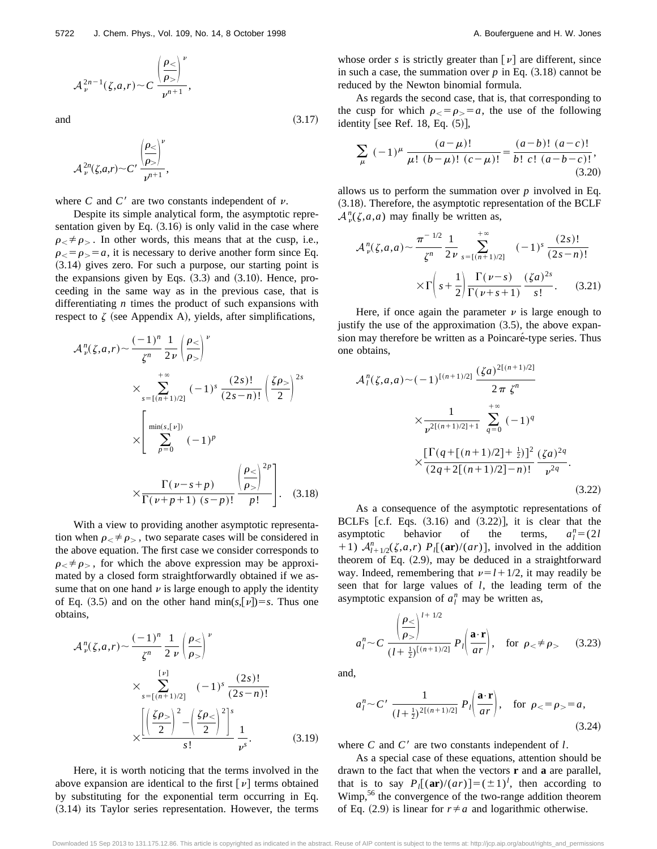$$
\mathcal{A}_\nu^{2n-1}(\zeta,a,r) \sim C \frac{\left(\frac{\rho_<}{\rho_>}\right)^{\nu}}{\nu^{n+1}},
$$

and  $(3.17)$ 

$$
\mathcal{A}_{\nu}^{2n}(\zeta,a,r) \sim C' \frac{\left|\frac{\rho_{<}}{\rho_{>}}\right|^{\nu}}{\nu^{n+1}},
$$

where  $C$  and  $C'$  are two constants independent of  $\nu$ .

Despite its simple analytical form, the asymptotic representation given by Eq.  $(3.16)$  is only valid in the case where  $\rho \neq \rho$ . In other words, this means that at the cusp, i.e.,  $\rho_{<} = \rho_{>} = a$ , it is necessary to derive another form since Eq.  $(3.14)$  gives zero. For such a purpose, our starting point is the expansions given by Eqs.  $(3.3)$  and  $(3.10)$ . Hence, proceeding in the same way as in the previous case, that is differentiating *n* times the product of such expansions with respect to  $\zeta$  (see Appendix A), yields, after simplifications,

$$
\mathcal{A}_{\nu}^{n}(\zeta,a,r) \sim \frac{(-1)^{n}}{\zeta^{n}} \frac{1}{2\nu} \left(\frac{\rho_{<}}{\rho_{>}}\right)^{\nu}
$$
\n
$$
\times \sum_{s=\lbrack (n+1)/2 \rbrack}^{+\infty} (-1)^{s} \frac{(2s)!}{(2s-n)!} \left(\frac{\zeta \rho_{>}}{2}\right)^{2s}
$$
\n
$$
\times \left[ \sum_{p=0}^{\min(s,[\nu])} (-1)^{p} \frac{\Gamma(\nu-s+p)}{\Gamma(\nu+p+1)(s-p)!} \frac{\left(\frac{\rho_{<}}{\rho_{>}}\right)^{2p}}{p!} \right]. \quad (3.18)
$$

With a view to providing another asymptotic representation when  $\rho < \neq \rho$ , two separate cases will be considered in the above equation. The first case we consider corresponds to  $\rho \neq \rho$ , for which the above expression may be approximated by a closed form straightforwardly obtained if we assume that on one hand  $\nu$  is large enough to apply the identity of Eq. (3.5) and on the other hand min( $s$ , $[\nu]$ )= $s$ . Thus one obtains,

$$
\mathcal{A}_{\nu}^{n}(\zeta,a,r) \sim \frac{(-1)^{n}}{\zeta^{n}} \frac{1}{2 \nu} \left(\frac{\rho_{<}}{\rho_{>}}\right)^{\nu}
$$

$$
\times \sum_{s=[(n+1)/2]}^{[\nu]} (-1)^{s} \frac{(2s)!}{(2s-n)!}
$$

$$
\times \frac{\left[\left(\frac{\zeta \rho_{>}}{2}\right)^{2} - \left(\frac{\zeta \rho_{<}}{2}\right)^{2}\right]^{s}}{s!} \frac{1}{\nu^{s}}.
$$
(3.19)

Here, it is worth noticing that the terms involved in the above expansion are identical to the first  $[\nu]$  terms obtained by substituting for the exponential term occurring in Eq.  $(3.14)$  its Taylor series representation. However, the terms whose order *s* is strictly greater than  $\lceil \nu \rceil$  are different, since in such a case, the summation over  $p$  in Eq.  $(3.18)$  cannot be reduced by the Newton binomial formula.

As regards the second case, that is, that corresponding to the cusp for which  $\rho_{\leq} = \rho_{\geq} = a$ , the use of the following identity [see Ref. 18, Eq.  $(5)$ ],

$$
\sum_{\mu} (-1)^{\mu} \frac{(a-\mu)!}{\mu! (b-\mu)! (c-\mu)!} = \frac{(a-b)! (a-c)!}{b! c! (a-b-c)!},
$$
\n(3.20)

allows us to perform the summation over *p* involved in Eq.  $(3.18)$ . Therefore, the asymptotic representation of the BCLF  $A_{\nu}^{n}(\zeta,a,a)$  may finally be written as,

$$
\mathcal{A}_{\nu}^{n}(\zeta,a,a) \sim \frac{\pi^{-1/2}}{\zeta^{n}} \frac{1}{2\nu} \sum_{s=[(n+1)/2]}^{+\infty} (-1)^{s} \frac{(2s)!}{(2s-n)!}
$$

$$
\times \Gamma\left(s+\frac{1}{2}\right) \frac{\Gamma(\nu-s)}{\Gamma(\nu+s+1)} \frac{(\zeta a)^{2s}}{s!}.
$$
(3.21)

Here, if once again the parameter  $\nu$  is large enough to justify the use of the approximation  $(3.5)$ , the above expansion may therefore be written as a Poincaré-type series. Thus one obtains,

$$
\mathcal{A}_{l}^{n}(\zeta,a,a) \sim (-1)^{[(n+1)/2]} \frac{(\zeta a)^{2[(n+1)/2]}}{2\pi \zeta^{n}}
$$

$$
\times \frac{1}{\nu^{2[(n+1)/2]+1}} \sum_{q=0}^{+\infty} (-1)^{q}
$$

$$
\times \frac{\left[\Gamma(q + [(n+1)/2] + \frac{1}{2})\right]^{2}}{(2q+2[(n+1)/2]-n)!} \frac{(\zeta a)^{2q}}{\nu^{2q}}.
$$
(3.22)

As a consequence of the asymptotic representations of BCLFs  $[c.f. Eqs. (3.16)$  and  $(3.22)$ , it is clear that the asymptotic behavior of the terms, *al*  $n_l$ <sup>n</sup> = (2*l* +1)  $A_{l+1/2}^n(\zeta,a,r)$   $P_l[(ar)/(ar)]$ , involved in the addition theorem of Eq.  $(2.9)$ , may be deduced in a straightforward way. Indeed, remembering that  $\nu = l + \frac{1}{2}$ , it may readily be seen that for large values of *l*, the leading term of the asymptotic expansion of  $a_l^n$  may be written as,

$$
a_l^n \sim C \frac{\left(\frac{\rho}{\rho} \right)^{l+1/2}}{(l+\frac{1}{2})^{\left[(n+1)/2\right]}} P_l \left(\frac{\mathbf{a} \cdot \mathbf{r}}{ar}\right), \quad \text{for } \rho < \neq \rho > \qquad (3.23)
$$

and,

$$
a_l^n \sim C' \frac{1}{(l+\frac{1}{2})^{2[(n+1)/2]}} P_l\left(\frac{\mathbf{a} \cdot \mathbf{r}}{ar}\right), \text{ for } \rho_< = \rho_> = a,
$$
\n(3.24)

where  $C$  and  $C'$  are two constants independent of  $l$ .

As a special case of these equations, attention should be drawn to the fact that when the vectors **r** and **a** are parallel, that is to say  $P_l[(\mathbf{ar})/(ar)] = (\pm 1)^l$ , then according to Wimp,<sup>56</sup> the convergence of the two-range addition theorem of Eq. (2.9) is linear for  $r \neq a$  and logarithmic otherwise.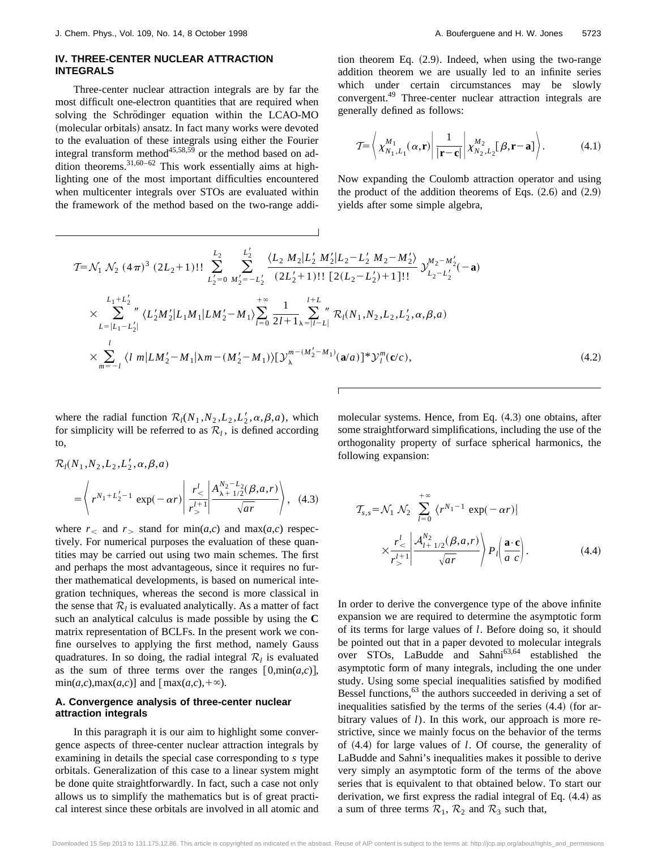#### **IV. THREE-CENTER NUCLEAR ATTRACTION INTEGRALS**

Three-center nuclear attraction integrals are by far the most difficult one-electron quantities that are required when solving the Schrödinger equation within the LCAO-MO (molecular orbitals) ansatz. In fact many works were devoted to the evaluation of these integrals using either the Fourier integral transform method<sup>45,58,59</sup> or the method based on addition theorems.<sup>31,60–62</sup> This work essentially aims at highlighting one of the most important difficulties encountered when multicenter integrals over STOs are evaluated within the framework of the method based on the two-range addition theorem Eq.  $(2.9)$ . Indeed, when using the two-range addition theorem we are usually led to an infinite series which under certain circumstances may be slowly convergent.49 Three-center nuclear attraction integrals are generally defined as follows:

$$
\mathcal{T} = \left\langle \chi_{N_1, L_1}^{M_1}(\alpha, \mathbf{r}) \middle| \frac{1}{|\mathbf{r} - \mathbf{c}|} \middle| \chi_{N_2, L_2}^{M_2}[\beta, \mathbf{r} - \mathbf{a}] \right\rangle. \tag{4.1}
$$

Now expanding the Coulomb attraction operator and using the product of the addition theorems of Eqs.  $(2.6)$  and  $(2.9)$ yields after some simple algebra,

$$
T = \mathcal{N}_1 \mathcal{N}_2 (4\pi)^3 (2L_2 + 1)!! \sum_{L'_2=0}^{L'_2} \sum_{M'_2=-L'_2}^{L'_2} \frac{\langle L_2 M_2 | L'_2 M'_2 | L_2 - L'_2 M_2 - M'_2 \rangle}{(2L'_2 + 1)!! [2(L_2 - L'_2) + 1]!!} \mathcal{Y}_{L_2-L'_2}^{M_2 - M'_2}(-\mathbf{a})
$$
  
\n
$$
\times \sum_{L=|L_1-L'_2|}^{L_1+L'_2} \langle L'_2 M'_2 | L_1 M_1 | L M'_2 - M_1 \rangle \sum_{l=0}^{+\infty} \frac{1}{2l+1} \sum_{\lambda=|l-l|}^{l+L} \mathcal{R}_l(N_1, N_2, L_2, L'_2, \alpha, \beta, a)
$$
  
\n
$$
\times \sum_{m=-l}^{l} \langle l \ m | L M'_2 - M_1 | \lambda m - (M'_2 - M_1) \rangle [\mathcal{Y}_{\lambda}^{m-(M'_2 - M_1)}(\mathbf{a}/a)]^* \mathcal{Y}_{l}^{m}(\mathbf{c}/c), \qquad (4.2)
$$

where the radial function  $\mathcal{R}_l(N_1, N_2, L_2, L'_2, \alpha, \beta, a)$ , which for simplicity will be referred to as  $\mathcal{R}_l$ , is defined according to,

$$
\mathcal{R}_l(N_1, N_2, L_2, L'_2, \alpha, \beta, a)
$$
  
=  $\left\langle r^{N_1 + L'_2 - 1} \exp(-\alpha r) \middle| \frac{r^l}{r^{l+1}} \middle| \frac{A_{\lambda + 1/2}^{N_2 - L_2}(\beta, a, r)}{\sqrt{ar}} \right\rangle$ , (4.3)

where  $r<sub>0</sub>$  and  $r<sub>0</sub>$  stand for min(*a*,*c*) and max(*a*,*c*) respectively. For numerical purposes the evaluation of these quantities may be carried out using two main schemes. The first and perhaps the most advantageous, since it requires no further mathematical developments, is based on numerical integration techniques, whereas the second is more classical in the sense that  $\mathcal{R}_l$  is evaluated analytically. As a matter of fact such an analytical calculus is made possible by using the **C** matrix representation of BCLFs. In the present work we confine ourselves to applying the first method, namely Gauss quadratures. In so doing, the radial integral  $\mathcal{R}_l$  is evaluated as the sum of three terms over the ranges  $[0, min(a, c)],$  $\min(a,c), \max(a,c)$ ] and  $[\max(a,c),+\infty)$ .

#### **A. Convergence analysis of three-center nuclear attraction integrals**

In this paragraph it is our aim to highlight some convergence aspects of three-center nuclear attraction integrals by examining in details the special case corresponding to *s* type orbitals. Generalization of this case to a linear system might be done quite straightforwardly. In fact, such a case not only allows us to simplify the mathematics but is of great practical interest since these orbitals are involved in all atomic and molecular systems. Hence, from Eq.  $(4.3)$  one obtains, after some straightforward simplifications, including the use of the orthogonality property of surface spherical harmonics, the following expansion:

$$
\mathcal{T}_{s,s} = \mathcal{N}_1 \; \mathcal{N}_2 \; \sum_{l=0}^{+\infty} \; \langle r^{N_1-1} \; \exp(-\alpha r) |
$$
\n
$$
\times \frac{r_<^{l}}{r_>^{l+1}} \left| \frac{\mathcal{A}_{l+1/2}^{N_2}(\beta, a, r)}{\sqrt{ar}} \right\rangle P_l \left( \frac{\mathbf{a} \cdot \mathbf{c}}{a \; c} \right). \tag{4.4}
$$

In order to derive the convergence type of the above infinite expansion we are required to determine the asymptotic form of its terms for large values of *l*. Before doing so, it should be pointed out that in a paper devoted to molecular integrals over STOs, LaBudde and Sahni<sup>63,64</sup> established the asymptotic form of many integrals, including the one under study. Using some special inequalities satisfied by modified Bessel functions,  $63$  the authors succeeded in deriving a set of inequalities satisfied by the terms of the series  $(4.4)$  (for arbitrary values of *l*). In this work, our approach is more restrictive, since we mainly focus on the behavior of the terms of  $(4.4)$  for large values of *l*. Of course, the generality of LaBudde and Sahni's inequalities makes it possible to derive very simply an asymptotic form of the terms of the above series that is equivalent to that obtained below. To start our derivation, we first express the radial integral of Eq.  $(4.4)$  as a sum of three terms  $\mathcal{R}_1$ ,  $\mathcal{R}_2$  and  $\mathcal{R}_3$  such that,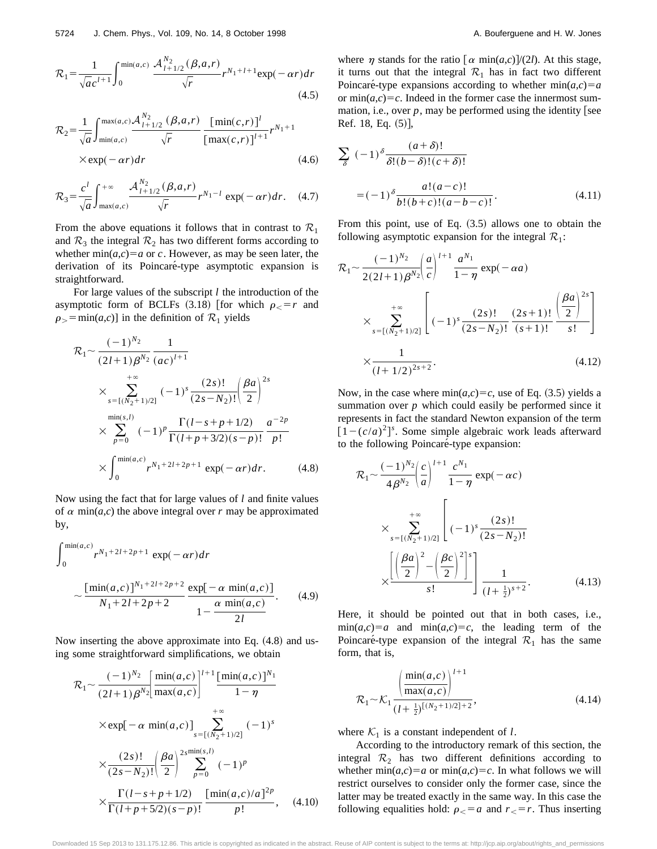$$
\mathcal{R}_1 = \frac{1}{\sqrt{ac}^{l+1}} \int_0^{\min(a,c)} \frac{\mathcal{A}_{l+1/2}^{N_2}(\beta, a, r)}{\sqrt{r}} r^{N_1 + l+1} \exp(-\alpha r) dr \tag{4.5}
$$

$$
\mathcal{R}_2 = \frac{1}{\sqrt{a}} \int_{\min(a,c)}^{\max(a,c)} \frac{\mathcal{A}_{l+1/2}^{N_2} (\beta, a, r)}{\sqrt{r}} \frac{\left[\min(c,r)\right]^l}{\left[\max(c,r)\right]^{l+1}} r^{N_1+1} \times \exp(-\alpha r) dr \tag{4.6}
$$

$$
\mathcal{R}_3 = \frac{c^l}{\sqrt{a}} \int_{\max(a,c)}^{+\infty} \frac{\mathcal{A}_{l+1/2}^{N_2}(\beta, a, r)}{\sqrt{r}} r^{N_1-l} \exp(-\alpha r) dr. \quad (4.7)
$$

From the above equations it follows that in contrast to  $\mathcal{R}_1$ and  $\mathcal{R}_3$  the integral  $\mathcal{R}_2$  has two different forms according to whether  $min(a,c)=a$  or *c*. However, as may be seen later, the derivation of its Poincaré-type asymptotic expansion is straightforward.

For large values of the subscript *l* the introduction of the asymptotic form of BCLFs  $(3.18)$  [for which  $\rho < r$  and  $\rho$ <sub>></sub> = min(*a*,*c*)] in the definition of  $\mathcal{R}_1$  yields

$$
\mathcal{R}_{1} \sim \frac{(-1)^{N_{2}}}{(2l+1)\beta^{N_{2}}} \frac{1}{(ac)^{l+1}}
$$
\n
$$
\times \sum_{s=\lbrack (N_{2}+1)/2 \rbrack}^{+\infty} (-1)^{s} \frac{(2s)!}{(2s-N_{2})!} \left(\frac{\beta a}{2}\right)^{2s}
$$
\n
$$
\times \sum_{p=0}^{\min(s,l)} (-1)^{p} \frac{\Gamma(l-s+p+1/2)}{\Gamma(l+p+3/2)(s-p)!} \frac{a^{-2p}}{p!}
$$
\n
$$
\times \int_{0}^{\min(a,c)} r^{N_{1}+2l+2p+1} \exp(-\alpha r) dr. \tag{4.8}
$$

Now using the fact that for large values of *l* and finite values of  $\alpha$  min( $a$ , $c$ ) the above integral over  $r$  may be approximated by,

$$
\int_0^{\min(a,c)} r^{N_1+2l+2p+1} \exp(-\alpha r) dr
$$
  
 
$$
\sim \frac{\left[\min(a,c)\right]^{N_1+2l+2p+2}}{N_1+2l+2p+2} \frac{\exp[-\alpha \min(a,c)]}{1-\frac{\alpha \min(a,c)}{2l}}.
$$
 (4.9)

Now inserting the above approximate into Eq.  $(4.8)$  and using some straightforward simplifications, we obtain

$$
\mathcal{R}_1 \sim \frac{(-1)^{N_2}}{(2l+1)\beta^{N_2}} \left[ \frac{\min(a,c)}{\max(a,c)} \right]^{l+1} \frac{[\min(a,c)]^{N_1}}{1-\eta}
$$
  
\n
$$
\times \exp[-\alpha \min(a,c)] \underset{s=[(N_2+1)/2]}{\longrightarrow} (-1)^s
$$
  
\n
$$
\times \frac{(2s)!}{(2s-N_2)!} \left( \frac{\beta a}{2} \right)^{2s \min(s,l)} \sum_{p=0}^{[\infty,1]} (-1)^p
$$
  
\n
$$
\times \frac{\Gamma(l-s+p+1/2)}{\Gamma(l+p+5/2)(s-p)!} \frac{[\min(a,c)/a]^{2p}}{p!}, \quad (4.10)
$$

where  $\eta$  stands for the ratio  $\left[\alpha \min(a,c)\right]/(2l)$ . At this stage, it turns out that the integral  $\mathcal{R}_1$  has in fact two different Poincaré-type expansions according to whether  $min(a,c)=a$ or  $min(a,c)=c$ . Indeed in the former case the innermost summation, i.e., over  $p$ , may be performed using the identity [see Ref.  $18$ , Eq.  $(5)$ ],

$$
\sum_{\delta} (-1)^{\delta} \frac{(a+\delta)!}{\delta!(b-\delta)!(c+\delta)!}
$$

$$
=(-1)^{\delta} \frac{a!(a-c)!}{b!(b+c)!(a-b-c)!}.
$$
(4.11)

From this point, use of Eq.  $(3.5)$  allows one to obtain the following asymptotic expansion for the integral  $\mathcal{R}_1$ :

$$
\mathcal{R}_{1} \sim \frac{(-1)^{N_{2}}}{2(2l+1)\beta^{N_{2}}}\left(\frac{a}{c}\right)^{l+1}\frac{a^{N_{1}}}{1-\eta}\exp(-\alpha a)
$$
\n
$$
\times \sum_{s=[(N_{2}+1)/2]}^{+\infty} \left[(-1)^{s}\frac{(2s)!}{(2s-N_{2})!}\frac{(2s+1)!}{(s+1)!}\frac{\left(\frac{\beta a}{2}\right)^{2s}}{s!}\right]
$$
\n
$$
\times \frac{1}{(l+1/2)^{2s+2}}.\tag{4.12}
$$

Now, in the case where  $min(a,c)=c$ , use of Eq. (3.5) yields a summation over *p* which could easily be performed since it represents in fact the standard Newton expansion of the term  $[1 - (c/a)^2]$ <sup>s</sup>. Some simple algebraic work leads afterward to the following Poincaré-type expansion:

$$
\mathcal{R}_{1} \sim \frac{(-1)^{N_{2}}}{4\beta^{N_{2}}}\left(\frac{c}{a}\right)^{l+1}\frac{c^{N_{1}}}{1-\eta}\exp(-\alpha c)
$$
\n
$$
\times \sum_{s=\lbrack (N_{2}+1)/2 \rbrack}^{+\infty} \left[(-1)^{s}\frac{(2s)!}{(2s-N_{2})!}\right]
$$
\n
$$
\times \frac{\left[\left(\frac{\beta a}{2}\right)^{2}-\left(\frac{\beta c}{2}\right)^{2}\right]^{s}}{s!}\frac{1}{(l+\frac{1}{2})^{s+2}}.
$$
\n(4.13)

Here, it should be pointed out that in both cases, i.e.,  $\min(a,c)=a$  and  $\min(a,c)=c$ , the leading term of the Poincaré-type expansion of the integral  $\mathcal{R}_1$  has the same form, that is,

$$
\mathcal{R}_1 \sim \mathcal{K}_1 \frac{\left(\frac{\min(a,c)}{\max(a,c)}\right)^{l+1}}{(l+\frac{1}{2})^{[(N_2+1)/2]+2}},\tag{4.14}
$$

where  $K_1$  is a constant independent of *l*.

According to the introductory remark of this section, the integral  $\mathcal{R}_2$  has two different definitions according to whether  $min(a,c)=a$  or  $min(a,c)=c$ . In what follows we will restrict ourselves to consider only the former case, since the latter may be treated exactly in the same way. In this case the following equalities hold:  $\rho_{\leq} = a$  and  $r_{\leq} = r$ . Thus inserting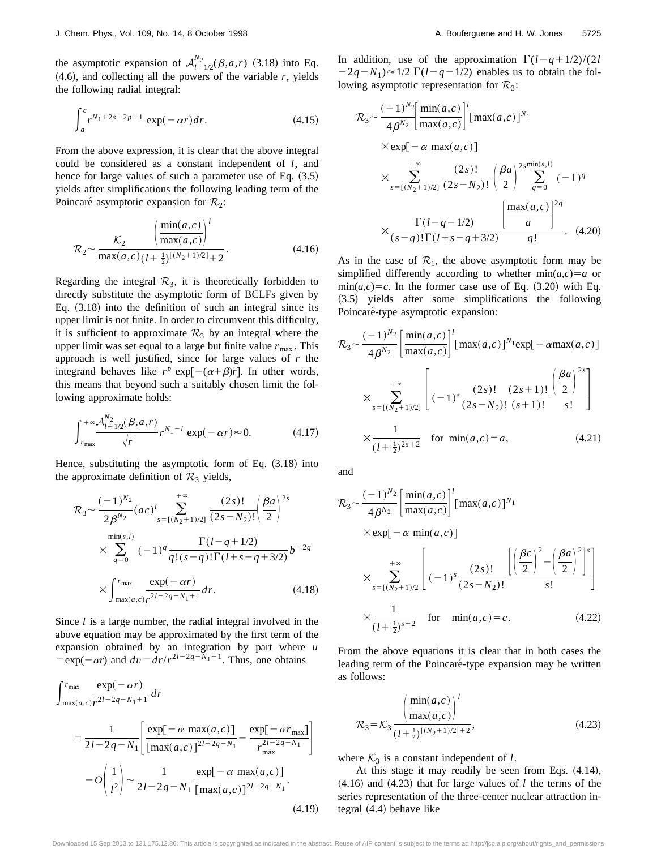the asymptotic expansion of  $A_{l+1/2}^{N_2}(\beta, a, r)$  (3.18) into Eq.  $(4.6)$ , and collecting all the powers of the variable  $r$ , yields the following radial integral:

$$
\int_{a}^{c} r^{N_1 + 2s - 2p + 1} \exp(-\alpha r) dr.
$$
 (4.15)

From the above expression, it is clear that the above integral could be considered as a constant independent of *l*, and hence for large values of such a parameter use of Eq.  $(3.5)$ yields after simplifications the following leading term of the Poincaré asymptotic expansion for  $\mathcal{R}_2$ :

$$
\mathcal{R}_2 \sim \frac{\mathcal{K}_2}{\max(a,c)} \left( \frac{\frac{\min(a,c)}{\max(a,c)} \right)^l}{\max(a,c) \left( l + \frac{1}{2} \right)^{\left[ (N_2 + 1)/2 \right]} + 2}.
$$
\n(4.16)

Regarding the integral  $\mathcal{R}_3$ , it is theoretically forbidden to directly substitute the asymptotic form of BCLFs given by Eq.  $(3.18)$  into the definition of such an integral since its upper limit is not finite. In order to circumvent this difficulty, it is sufficient to approximate  $\mathcal{R}_3$  by an integral where the upper limit was set equal to a large but finite value  $r_{\text{max}}$ . This approach is well justified, since for large values of *r* the integrand behaves like  $r^p$  exp $[-(\alpha+\beta)r]$ . In other words, this means that beyond such a suitably chosen limit the following approximate holds:

$$
\int_{r_{\text{max}}}^{+\infty} \frac{\mathcal{A}_{l+1/2}^{N_2}(\beta, a, r)}{\sqrt{r}} r^{N_1 - l} \exp(-\alpha r) \approx 0. \tag{4.17}
$$

Hence, substituting the asymptotic form of Eq.  $(3.18)$  into the approximate definition of  $\mathcal{R}_3$  yields,

$$
\mathcal{R}_3 \sim \frac{(-1)^{N_2}}{2\beta^{N_2}} (ac)^l \sum_{s=\lbrack (N_2+1)/2 \rbrack}^{+\infty} \frac{(2s)!}{(2s-N_2)!} \left(\frac{\beta a}{2}\right)^{2s} \times \sum_{q=0}^{\min(s,l)} (-1)^q \frac{\Gamma(l-q+1/2)}{q!(s-q)!\Gamma(l+s-q+3/2)} b^{-2q} \times \int_{\max(a,c)}^{r_{\max}} \frac{\exp(-\alpha r)}{r^{2l-2q-N_1+1}} dr.
$$
\n(4.18)

Since *l* is a large number, the radial integral involved in the above equation may be approximated by the first term of the expansion obtained by an integration by part where *u*  $=$ exp( $-\alpha r$ ) and  $dv = dr/r^{2l-2q-N_1+1}$ . Thus, one obtains

$$
\int_{\max(a,c)}^{r_{\max}} \frac{\exp(-\alpha r)}{r^{2l-2q-N_1+1}} dr
$$
\n
$$
= \frac{1}{2l-2q-N_1} \left[ \frac{\exp[-\alpha \max(a,c)]}{[\max(a,c)]^{2l-2q-N_1}} - \frac{\exp[-\alpha r_{\max}]}{r_{\max}^{2l-2q-N_1}} \right]
$$
\n
$$
-O\left(\frac{1}{l^2}\right) \sim \frac{1}{2l-2q-N_1} \frac{\exp[-\alpha \max(a,c)]}{[\max(a,c)]^{2l-2q-N_1}}.
$$
\n(4.19)

In addition, use of the approximation  $\Gamma(l-q+1/2)/(2l)$  $-2q-N_1 \approx 1/2 \Gamma(l-q-1/2)$  enables us to obtain the following asymptotic representation for  $\mathcal{R}_3$ :

$$
\mathcal{R}_3 \sim \frac{(-1)^{N_2}}{4\beta^{N_2}} \left[ \frac{\min(a,c)}{\max(a,c)} \right]^l [\max(a,c)]^{N_1}
$$
  
×  $\exp[-\alpha \max(a,c)]$   
×  $\sum_{s=[(N_2+1)/2]}^{+\infty} \frac{(2s)!}{(2s-N_2)!} \left( \frac{\beta a}{2} \right)^{2s \min(s,l)} \sum_{q=0}^{2s \min(s,l)} (-1)^q$   
×  $\frac{\Gamma(l-q-1/2)}{(s-q)!\Gamma(l+s-q+3/2)} \left[ \frac{\max(a,c)}{q!} \right]^{2q}$ . (4.20)

As in the case of  $\mathcal{R}_1$ , the above asymptotic form may be simplified differently according to whether  $min(a,c)=a$  or  $min(a,c)=c$ . In the former case use of Eq.  $(3.20)$  with Eq. ~3.5! yields after some simplifications the following Poincaré-type asymptotic expansion:

$$
\mathcal{R}_3 \sim \frac{(-1)^{N_2}}{4\beta^{N_2}} \left[ \frac{\min(a,c)}{\max(a,c)} \right]^l [\max(a,c)]^{N_1} \exp[-\alpha \max(a,c)]
$$
  

$$
\times \sum_{s=\lbrack (N_2+1)/2 \rbrack}^{+\infty} \left[ (-1)^s \frac{(2s)! (2s+1)!}{(2s-N_2)! (s+1)!} \frac{\left(\frac{\beta a}{2}\right)^{2s}}{s!} \right]
$$
  

$$
\times \frac{1}{(l+\frac{1}{2})^{2s+2}} \quad \text{for } \min(a,c) = a,
$$
 (4.21)

and

$$
\mathcal{R}_{3} \sim \frac{(-1)^{N_{2}}}{4\beta^{N_{2}}} \left[ \frac{\min(a,c)}{\max(a,c)} \right]^{l} [\max(a,c)]^{N_{1}}
$$
  
\n
$$
\times \exp[-\alpha \min(a,c)]
$$
  
\n
$$
\times \sum_{s=[(N_{2}+1)/2}^{+\infty} \left[ (-1)^{s} \frac{(2s)!}{(2s-N_{2})!} \frac{\left[ \left( \frac{\beta c}{2} \right)^{2} - \left( \frac{\beta a}{2} \right)^{2} \right]^{s}}{s!} \right]
$$
  
\n
$$
\times \frac{1}{(l+\frac{1}{2})^{s+2}} \quad \text{for} \quad \min(a,c)=c.
$$
 (4.22)

From the above equations it is clear that in both cases the leading term of the Poincaré-type expansion may be written as follows:

$$
\mathcal{R}_3 = \mathcal{K}_3 \frac{\left(\frac{\min(a,c)}{\max(a,c)}\right)^l}{(l + \frac{1}{2})^{[(N_2 + 1)/2] + 2}},
$$
\n(4.23)

where  $K_3$  is a constant independent of *l*.

At this stage it may readily be seen from Eqs.  $(4.14)$ ,  $(4.16)$  and  $(4.23)$  that for large values of *l* the terms of the series representation of the three-center nuclear attraction integral  $(4.4)$  behave like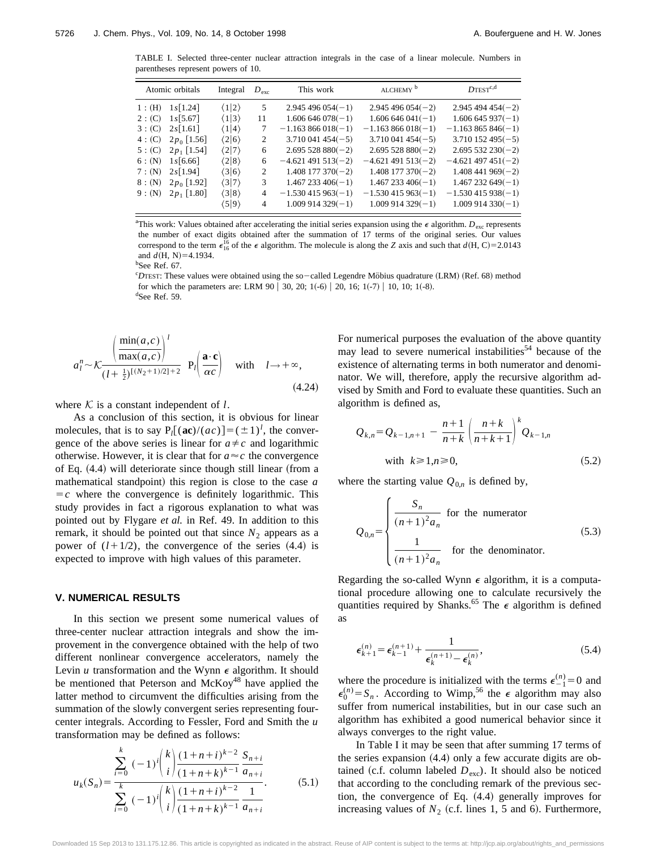TABLE I. Selected three-center nuclear attraction integrals in the case of a linear molecule. Numbers in parentheses represent powers of 10.

| Atomic orbitals |               | Integral              | $D_{\text{exc}}$ | This work            | ALCHEMY <sup>b</sup> | $D$ TEST <sup>c,d</sup> |
|-----------------|---------------|-----------------------|------------------|----------------------|----------------------|-------------------------|
| 1: (H)          | 1s[1.24]      | $\langle 1 2\rangle$  | 5                | $2.945496054(-1)$    | $2.945496054(-2)$    | $2.945494454(-2)$       |
| 2: (C)          | 1s[5.67]      | $\langle 1 3 \rangle$ | 11               | $1.606646078(-1)$    | $1.606646041(-1)$    | $1.606645937(-1)$       |
| 3: (C)          | 2s[1.61]      | $\langle 1 4 \rangle$ | 7                | $-1.163866018(-1)$   | $-1.163866018(-1)$   | $-1.163865846(-1)$      |
| 4: (C)          | $2p_0$ [1.56] | $\langle 2 6 \rangle$ | 2                | $3.710041454(-5)$    | $3.710041454(-5)$    | $3.710152495(-5)$       |
| 5: (C)          | $2p_1$ [1.54] | $\langle 2 7 \rangle$ | 6                | $2.69552880(-2)$     | $2.69552880(-2)$     | $2.695532230(-2)$       |
| 6: (N)          | 1s[6.66]      | $\langle 2 8 \rangle$ | 6                | $-4.621$ 491 513(-2) | $-4.621$ 491 513(-2) | $-4.621$ 497 451(-2)    |
| 7: (N)          | 2s[1.94]      | $\langle 3 6 \rangle$ | 2                | $1.408$ 177 370(-2)  | $1.408$ 177 370(-2)  | $1.408$ 441 969(-2)     |
| 8: (N)          | $2p_0$ [1.92] | $\langle 3 7\rangle$  | 3                | $1.467233406(-1)$    | $1.467233406(-1)$    | $1.467232649(-1)$       |
| 9: (N)          | $2p_1$ [1.80] | $\langle 3 8\rangle$  | $\overline{4}$   | $-1.530415963(-1)$   | $-1.530415963(-1)$   | $-1.530415938(-1)$      |
|                 |               | $\langle 5 9 \rangle$ | $\overline{4}$   | $1.009914329(-1)$    | $1.009914329(-1)$    | $1.009914330(-1)$       |

<sup>a</sup>This work: Values obtained after accelerating the initial series expansion using the  $\epsilon$  algorithm.  $D_{\text{exc}}$  represents the number of exact digits obtained after the summation of 17 terms of the original series. Our values correspond to the term  $\epsilon_{16}^{16}$  of the  $\epsilon$  algorithm. The molecule is along the *Z* axis and such that  $d(H, C) = 2.0143$ and  $d(H, N) = 4.1934$ . <sup>b</sup>See Ref. 67.

<sup>c</sup>DTEST: These values were obtained using the so-called Legendre Möbius quadrature (LRM) (Ref. 68) method for which the parameters are: LRM 90 | 30, 20; 1(-6) | 20, 16; 1(-7) | 10, 10; 1(-8). See Ref. 59.

$$
a_l^n \sim \mathcal{K} \frac{\left(\frac{\min(a,c)}{\max(a,c)}\right)^l}{(l+\frac{1}{2})^{[(N_2+1)/2]+2}} \ \mathbf{P}_l \left(\frac{\mathbf{a} \cdot \mathbf{c}}{ac}\right) \quad \text{with} \quad l \to +\infty,
$$
\n(4.24)

where  $K$  is a constant independent of  $l$ .

As a conclusion of this section, it is obvious for linear molecules, that is to say  $P_l[(ac)/(ac)] = (\pm 1)^l$ , the convergence of the above series is linear for  $a \neq c$  and logarithmic otherwise. However, it is clear that for  $a \approx c$  the convergence of Eq.  $(4.4)$  will deteriorate since though still linear (from a mathematical standpoint) this region is close to the case  $a$  $=c$  where the convergence is definitely logarithmic. This study provides in fact a rigorous explanation to what was pointed out by Flygare *et al.* in Ref. 49. In addition to this remark, it should be pointed out that since  $N_2$  appears as a power of  $(l+1/2)$ , the convergence of the series  $(4.4)$  is expected to improve with high values of this parameter.

#### **V. NUMERICAL RESULTS**

In this section we present some numerical values of three-center nuclear attraction integrals and show the improvement in the convergence obtained with the help of two different nonlinear convergence accelerators, namely the Levin  $u$  transformation and the Wynn  $\epsilon$  algorithm. It should be mentioned that Peterson and McKoy<sup>48</sup> have applied the latter method to circumvent the difficulties arising from the summation of the slowly convergent series representing fourcenter integrals. According to Fessler, Ford and Smith the *u* transformation may be defined as follows:

$$
u_{k}(S_{n}) = \frac{\sum_{i=0}^{k} (-1)^{i} {k \choose i} \frac{(1+n+i)^{k-2}}{(1+n+k)^{k-1}} \frac{S_{n+i}}{a_{n+i}}}{\sum_{i=0}^{k} (-1)^{i} {k \choose i} \frac{(1+n+i)^{k-2}}{(1+n+k)^{k-1}} \frac{1}{a_{n+i}}}.
$$
(5.1)

For numerical purposes the evaluation of the above quantity may lead to severe numerical instabilities<sup>54</sup> because of the existence of alternating terms in both numerator and denominator. We will, therefore, apply the recursive algorithm advised by Smith and Ford to evaluate these quantities. Such an algorithm is defined as,

$$
Q_{k,n} = Q_{k-1,n+1} - \frac{n+1}{n+k} \left( \frac{n+k}{n+k+1} \right)^{k} Q_{k-1,n}
$$
  
with  $k \ge 1, n \ge 0$ , (5.2)

where the starting value  $Q_{0,n}$  is defined by,

$$
Q_{0,n} = \begin{cases} \frac{S_n}{(n+1)^2 a_n} & \text{for the numerator} \\ \frac{1}{(n+1)^2 a_n} & \text{for the denominator.} \end{cases}
$$
(5.3)

Regarding the so-called Wynn  $\epsilon$  algorithm, it is a computational procedure allowing one to calculate recursively the quantities required by Shanks.<sup>65</sup> The  $\epsilon$  algorithm is defined as

$$
\epsilon_{k+1}^{(n)} = \epsilon_{k-1}^{(n+1)} + \frac{1}{\epsilon_k^{(n+1)} - \epsilon_k^{(n)}},\tag{5.4}
$$

where the procedure is initialized with the terms  $\epsilon_{-1}^{(n)} = 0$  and  $\epsilon_0^{(n)} = S_n$ . According to Wimp,<sup>56</sup> the  $\epsilon$  algorithm may also suffer from numerical instabilities, but in our case such an algorithm has exhibited a good numerical behavior since it always converges to the right value.

In Table I it may be seen that after summing 17 terms of the series expansion  $(4.4)$  only a few accurate digits are obtained (c.f. column labeled  $D_{\text{exc}}$ ). It should also be noticed that according to the concluding remark of the previous section, the convergence of Eq.  $(4.4)$  generally improves for increasing values of  $N_2$  (c.f. lines 1, 5 and 6). Furthermore,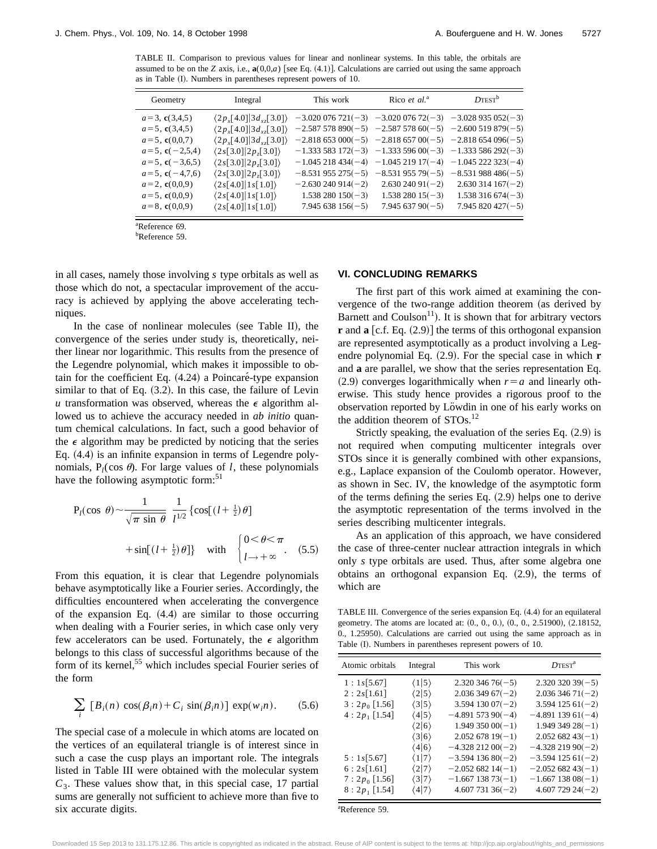TABLE II. Comparison to previous values for linear and nonlinear systems. In this table, the orbitals are assumed to be on the *Z* axis, i.e.,  $\mathbf{a}(0,0,a)$  [see Eq.  $(4.1)$ ]. Calculations are carried out using the same approach as in Table (I). Numbers in parentheses represent powers of 10.

| Geometry                                                                                                           | Integral                                                                                                                                                                                                            | This work                                                                                                                                                                       | Rico et al. <sup>a</sup>                                                      | $D$ TEST <sup>b</sup>                                                                                      |
|--------------------------------------------------------------------------------------------------------------------|---------------------------------------------------------------------------------------------------------------------------------------------------------------------------------------------------------------------|---------------------------------------------------------------------------------------------------------------------------------------------------------------------------------|-------------------------------------------------------------------------------|------------------------------------------------------------------------------------------------------------|
| $a=3$ , <b>c</b> (3,4,5)<br>$a=5$ , $c(3,4,5)$<br>$a=5$ , $c(0,0,7)$<br>$a=5$ , $c(-2,5,4)$<br>$a=5$ , $c(-3,6,5)$ | $\langle 2p_{r} [4.0]   3d_{r} [3.0] \rangle$<br>$\langle 2p_x[4.0]   3d_{xz}[3.0] \rangle$<br>$\langle 2p_r[4.0]   3d_{17}[3.0] \rangle$<br>$\langle 2s[3.0] 2p,[3.0]\rangle$<br>$\langle 2s[3.0] 2p,[3.0]\rangle$ | $-3.020076721(-3) -3.02007672(-3) -3.028935052(-3)$<br>$-2.587578890(-5)$ $-2.58757860(-5)$ $-2.600519879(-5)$<br>$-2.818$ 653 000(-5) $-2.818$ 657 00(-5) $-2.818$ 654 096(-5) |                                                                               | $-1.333583172(-3) -1.33359600(-3) -1.333586292(-3)$<br>$-1.045218434(-4) -1.04521917(-4) -1.045222323(-4)$ |
| $a=5$ , $c(-4,7,6)$<br>$a=2$ , $c(0,0,9)$<br>$a=5$ , $c(0,0,9)$<br>$a=8$ , $c(0,0,9)$                              | $\langle 2s[3.0] 2p,[3.0]\rangle$<br>$\langle 2s[4.0] 1s[1.0]\rangle$<br>$\langle 2s[4.0] 1s[1.0]\rangle$<br>$\langle 2s[4.0] 1s[1.0]\rangle$                                                                       | $-8.531955275(-5)$<br>$-2.630240914(-2)$<br>$1.538280150(-3)$<br>$7.945638156(-5)$                                                                                              | $-8.53195579(-5)$<br>$2.63024091(-2)$<br>$1.53828015(-3)$<br>$7.94563790(-5)$ | $-8.531988486(-5)$<br>$2.630$ 314 $167(-2)$<br>$1.538316674(-3)$<br>$7.945820427(-5)$                      |

a Reference 69.

b Reference 59.

in all cases, namely those involving *s* type orbitals as well as those which do not, a spectacular improvement of the accuracy is achieved by applying the above accelerating techniques.

In the case of nonlinear molecules (see Table II), the convergence of the series under study is, theoretically, neither linear nor logarithmic. This results from the presence of the Legendre polynomial, which makes it impossible to obtain for the coefficient Eq.  $(4.24)$  a Poincaré-type expansion similar to that of Eq.  $(3.2)$ . In this case, the failure of Levin *u* transformation was observed, whereas the  $\epsilon$  algorithm allowed us to achieve the accuracy needed in *ab initio* quantum chemical calculations. In fact, such a good behavior of the  $\epsilon$  algorithm may be predicted by noticing that the series Eq.  $(4.4)$  is an infinite expansion in terms of Legendre polynomials,  $P_l(\cos \theta)$ . For large values of *l*, these polynomials have the following asymptotic form:<sup>51</sup>

$$
P_l(\cos \theta) \sim \frac{1}{\sqrt{\pi \sin \theta}} \frac{1}{l^{1/2}} \left\{ \cos[(l + \frac{1}{2})\theta] \right\}
$$
  
 
$$
+ \sin[(l + \frac{1}{2})\theta] \} \text{ with } \begin{cases} 0 < \theta < \pi \\ l \to +\infty \end{cases} (5.5)
$$

From this equation, it is clear that Legendre polynomials behave asymptotically like a Fourier series. Accordingly, the difficulties encountered when accelerating the convergence of the expansion Eq.  $(4.4)$  are similar to those occurring when dealing with a Fourier series, in which case only very few accelerators can be used. Fortunately, the  $\epsilon$  algorithm belongs to this class of successful algorithms because of the form of its kernel,<sup>55</sup> which includes special Fourier series of the form

$$
\sum_{i} [B_i(n) \cos(\beta_i n) + C_i \sin(\beta_i n)] \exp(w_i n). \quad (5.6)
$$

The special case of a molecule in which atoms are located on the vertices of an equilateral triangle is of interest since in such a case the cusp plays an important role. The integrals listed in Table III were obtained with the molecular system  $C_3$ . These values show that, in this special case, 17 partial sums are generally not sufficient to achieve more than five to six accurate digits.

#### **VI. CONCLUDING REMARKS**

The first part of this work aimed at examining the convergence of the two-range addition theorem (as derived by Barnett and Coulson<sup>11</sup>). It is shown that for arbitrary vectors  $\bf{r}$  and  $\bf{a}$  [c.f. Eq. (2.9)] the terms of this orthogonal expansion are represented asymptotically as a product involving a Legendre polynomial Eq.  $(2.9)$ . For the special case in which **r** and **a** are parallel, we show that the series representation Eq.  $(2.9)$  converges logarithmically when  $r=a$  and linearly otherwise. This study hence provides a rigorous proof to the observation reported by Löwdin in one of his early works on the addition theorem of STOs.<sup>12</sup>

Strictly speaking, the evaluation of the series Eq.  $(2.9)$  is not required when computing multicenter integrals over STOs since it is generally combined with other expansions, e.g., Laplace expansion of the Coulomb operator. However, as shown in Sec. IV, the knowledge of the asymptotic form of the terms defining the series Eq.  $(2.9)$  helps one to derive the asymptotic representation of the terms involved in the series describing multicenter integrals.

As an application of this approach, we have considered the case of three-center nuclear attraction integrals in which only *s* type orbitals are used. Thus, after some algebra one obtains an orthogonal expansion Eq.  $(2.9)$ , the terms of which are

TABLE III. Convergence of the series expansion Eq. (4.4) for an equilateral geometry. The atoms are located at:  $(0., 0., 0.), (0., 0., 2.51900), (2.18152, ...)$ 0., 1.25950). Calculations are carried out using the same approach as in Table (I). Numbers in parentheses represent powers of 10.

| Atomic orbitals | Integral              | This work               | $D$ TEST <sup>a</sup>   |
|-----------------|-----------------------|-------------------------|-------------------------|
| 1:1s[5.67]      | $\langle 1 5 \rangle$ | $2.320$ 346 76( $-5$ )  | $2.320$ 320 39(-5)      |
| 2:2s[1.61]      | $\langle 2 5 \rangle$ | $2.03634967(-2)$        | $2.03634671(-2)$        |
| $3:2p_0$ [1.56] | $\langle 3 5 \rangle$ | $3.59413007(-2)$        | $3.594$ 125 61(-2)      |
| $4:2p_1[1.54]$  | $\langle 4 5 \rangle$ | $-4.89157390(-4)$       | $-4.89113961(-4)$       |
|                 | $\langle 2 6 \rangle$ | $1.94935000(-1)$        | $1.94934928(-1)$        |
|                 | $\langle 3 6 \rangle$ | $2.05267819(-1)$        | $2.05268243(-1)$        |
|                 | $\langle 4 6 \rangle$ | $-4.32821200(-2)$       | $-4.32821990(-2)$       |
| 5:1s[5.67]      | $\langle 1 7 \rangle$ | $-3.594$ 136 80( $-2$ ) | $-3.594$ 125 61(-2)     |
| 6:2s[1.61]      | $\langle 2 7 \rangle$ | $-2.05268214(-1)$       | $-2.05268243(-1)$       |
| $7:2p_0$ [1.56] | $\langle 3 7\rangle$  | $-1.667$ 138 73( $-1$ ) | $-1.667$ 138 08( $-1$ ) |
| $8:2p_1$ [1.54] | $\langle 4 7\rangle$  | $4.60773136(-2)$        | $4.60772924(-2)$        |

a Reference 59.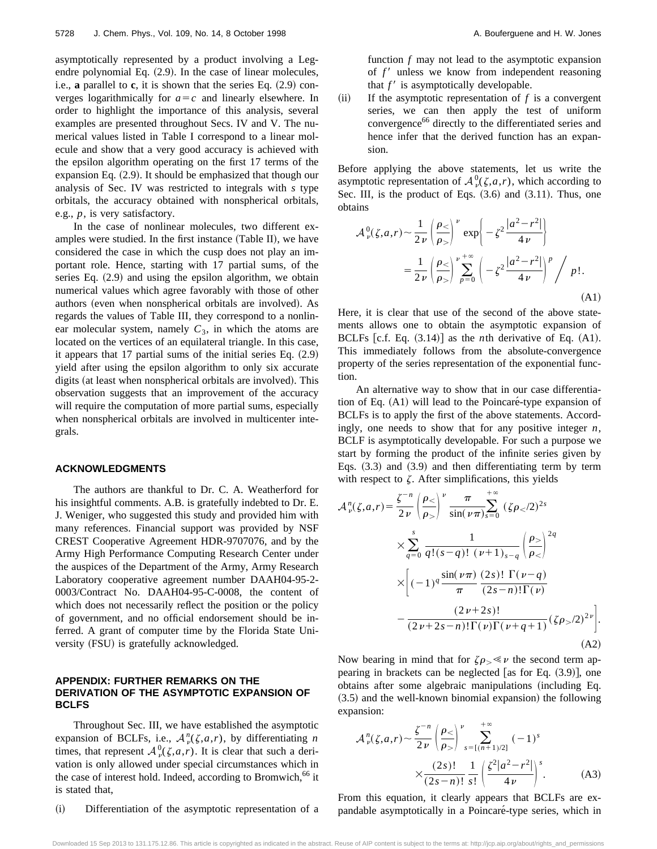asymptotically represented by a product involving a Legendre polynomial Eq.  $(2.9)$ . In the case of linear molecules, i.e., **a** parallel to **c**, it is shown that the series Eq.  $(2.9)$  converges logarithmically for  $a=c$  and linearly elsewhere. In order to highlight the importance of this analysis, several examples are presented throughout Secs. IV and V. The numerical values listed in Table I correspond to a linear molecule and show that a very good accuracy is achieved with the epsilon algorithm operating on the first 17 terms of the expansion Eq.  $(2.9)$ . It should be emphasized that though our analysis of Sec. IV was restricted to integrals with *s* type orbitals, the accuracy obtained with nonspherical orbitals, e.g., *p*, is very satisfactory.

In the case of nonlinear molecules, two different examples were studied. In the first instance  $(Table II)$ , we have considered the case in which the cusp does not play an important role. Hence, starting with 17 partial sums, of the series Eq.  $(2.9)$  and using the epsilon algorithm, we obtain numerical values which agree favorably with those of other authors (even when nonspherical orbitals are involved). As regards the values of Table III, they correspond to a nonlinear molecular system, namely  $C_3$ , in which the atoms are located on the vertices of an equilateral triangle. In this case, it appears that  $17$  partial sums of the initial series Eq.  $(2.9)$ yield after using the epsilon algorithm to only six accurate digits (at least when nonspherical orbitals are involved). This observation suggests that an improvement of the accuracy will require the computation of more partial sums, especially when nonspherical orbitals are involved in multicenter integrals.

#### **ACKNOWLEDGMENTS**

The authors are thankful to Dr. C. A. Weatherford for his insightful comments. A.B. is gratefully indebted to Dr. E. J. Weniger, who suggested this study and provided him with many references. Financial support was provided by NSF CREST Cooperative Agreement HDR-9707076, and by the Army High Performance Computing Research Center under the auspices of the Department of the Army, Army Research Laboratory cooperative agreement number DAAH04-95-2- 0003/Contract No. DAAH04-95-C-0008, the content of which does not necessarily reflect the position or the policy of government, and no official endorsement should be inferred. A grant of computer time by the Florida State University (FSU) is gratefully acknowledged.

### **APPENDIX: FURTHER REMARKS ON THE DERIVATION OF THE ASYMPTOTIC EXPANSION OF BCLFS**

Throughout Sec. III, we have established the asymptotic expansion of BCLFs, i.e.,  $A_{\nu}^{n}(\zeta,a,r)$ , by differentiating *n* times, that represent  $A_v^0(\zeta,a,r)$ . It is clear that such a derivation is only allowed under special circumstances which in the case of interest hold. Indeed, according to Bromwich,<sup>66</sup> it is stated that,

(i) Differentiation of the asymptotic representation of a

function *f* may not lead to the asymptotic expansion of f' unless we know from independent reasoning that  $f'$  is asymptotically developable.

 $(iii)$  If the asymptotic representation of  $f$  is a convergent series, we can then apply the test of uniform convergence<sup>66</sup> directly to the differentiated series and hence infer that the derived function has an expansion.

Before applying the above statements, let us write the asymptotic representation of  $A^0_\nu(\zeta,a,r)$ , which according to Sec. III, is the product of Eqs.  $(3.6)$  and  $(3.11)$ . Thus, one obtains

$$
\mathcal{A}_{\nu}^{0}(\zeta,a,r) \sim \frac{1}{2\nu} \left( \frac{\rho_{<}}{\rho_{>}} \right)^{\nu} \exp \left\{ -\zeta^{2} \frac{|a^{2}-r^{2}|}{4\nu} \right\}
$$

$$
= \frac{1}{2\nu} \left( \frac{\rho_{<}}{\rho_{>}} \right)^{\nu} \sum_{p=0}^{\infty} \left( -\zeta^{2} \frac{|a^{2}-r^{2}|}{4\nu} \right)^{p} / p!.
$$
(A1)

Here, it is clear that use of the second of the above statements allows one to obtain the asymptotic expansion of BCLFs  $[c.f. Eq. (3.14)]$  as the *n*th derivative of Eq.  $(A1)$ . This immediately follows from the absolute-convergence property of the series representation of the exponential function.

An alternative way to show that in our case differentiation of Eq.  $(A1)$  will lead to the Poincaré-type expansion of BCLFs is to apply the first of the above statements. Accordingly, one needs to show that for any positive integer *n*, BCLF is asymptotically developable. For such a purpose we start by forming the product of the infinite series given by Eqs.  $(3.3)$  and  $(3.9)$  and then differentiating term by term with respect to  $\zeta$ . After simplifications, this yields

$$
\mathcal{A}_{\nu}^{n}(\zeta, a, r) = \frac{\zeta^{-n}}{2\nu} \left( \frac{\rho_{<}}{\rho_{>}} \right)^{\nu} \frac{\pi}{\sin(\nu \pi)} \sum_{s=0}^{+\infty} (\zeta \rho_{<}/2)^{2s}
$$
  
 
$$
\times \sum_{q=0}^{s} \frac{1}{q!(s-q)!(\nu+1)_{s-q}} \left( \frac{\rho_{>}}{\rho_{<}} \right)^{2q}
$$
  
 
$$
\times \left[ (-1)^{q} \frac{\sin(\nu \pi)}{\pi} \frac{(2s)!\ \Gamma(\nu-q)}{(2s-n)!\Gamma(\nu)}
$$
  
 
$$
- \frac{(2\nu+2s)!}{(2\nu+2s-n)!\Gamma(\nu)\Gamma(\nu+q+1)} (\zeta \rho_{>}/2)^{2\nu} \right].
$$
  
(A2)

Now bearing in mind that for  $\zeta \rho_{\geq} \ll \nu$  the second term appearing in brackets can be neglected [as for Eq.  $(3.9)$ ], one obtains after some algebraic manipulations (including Eq.  $(3.5)$  and the well-known binomial expansion) the following expansion:

$$
\mathcal{A}_{\nu}^{n}(\zeta,a,r) \sim \frac{\zeta^{-n}}{2\nu} \left(\frac{\rho_{<}}{\rho_{>}}\right)^{\nu} \sum_{s=[(n+1)/2]}^{+\infty} (-1)^{s}
$$

$$
\times \frac{(2s)!}{(2s-n)!} \frac{1}{s!} \left(\frac{\zeta^{2}|a^{2}-r^{2}|}{4\nu}\right)^{s}.
$$
 (A3)

From this equation, it clearly appears that BCLFs are expandable asymptotically in a Poincaré-type series, which in

Downloaded 15 Sep 2013 to 131.175.12.86. This article is copyrighted as indicated in the abstract. Reuse of AIP content is subject to the terms at: http://jcp.aip.org/about/rights\_and\_permissions